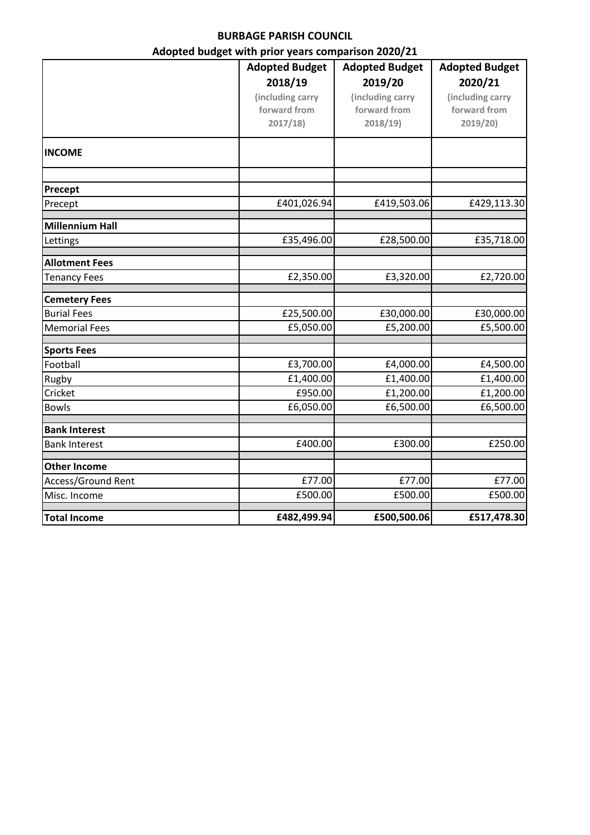## **BURBAGE PARISH COUNCIL**

## **Adopted budget with prior years comparison 2020/21**

|                        | <b>Adopted Budget</b> | <b>Adopted Budget</b> | <b>Adopted Budget</b> |
|------------------------|-----------------------|-----------------------|-----------------------|
|                        | 2018/19               | 2019/20               | 2020/21               |
|                        | (including carry      | (including carry      | (including carry      |
|                        | forward from          | forward from          | forward from          |
|                        | 2017/18               | 2018/19               | 2019/20)              |
| <b>INCOME</b>          |                       |                       |                       |
|                        |                       |                       |                       |
| Precept                |                       |                       |                       |
| Precept                | £401,026.94           | £419,503.06           | £429,113.30           |
| <b>Millennium Hall</b> |                       |                       |                       |
| Lettings               | £35,496.00            | £28,500.00            | £35,718.00            |
| <b>Allotment Fees</b>  |                       |                       |                       |
| <b>Tenancy Fees</b>    | £2,350.00             | £3,320.00             | £2,720.00             |
| <b>Cemetery Fees</b>   |                       |                       |                       |
| <b>Burial Fees</b>     | £25,500.00            | £30,000.00            | £30,000.00            |
| <b>Memorial Fees</b>   | £5,050.00             | £5,200.00             | £5,500.00             |
| <b>Sports Fees</b>     |                       |                       |                       |
| Football               | £3,700.00             | £4,000.00             | £4,500.00             |
| Rugby                  | £1,400.00             | £1,400.00             | £1,400.00             |
| Cricket                | £950.00               | £1,200.00             | £1,200.00             |
| <b>Bowls</b>           | £6,050.00             | £6,500.00             | £6,500.00             |
| <b>Bank Interest</b>   |                       |                       |                       |
| <b>Bank Interest</b>   | £400.00               | £300.00               | £250.00               |
| <b>Other Income</b>    |                       |                       |                       |
| Access/Ground Rent     | £77.00                | £77.00                | £77.00                |
| Misc. Income           | £500.00               | £500.00               | £500.00               |
| <b>Total Income</b>    | £482,499.94           | £500,500.06           | £517,478.30           |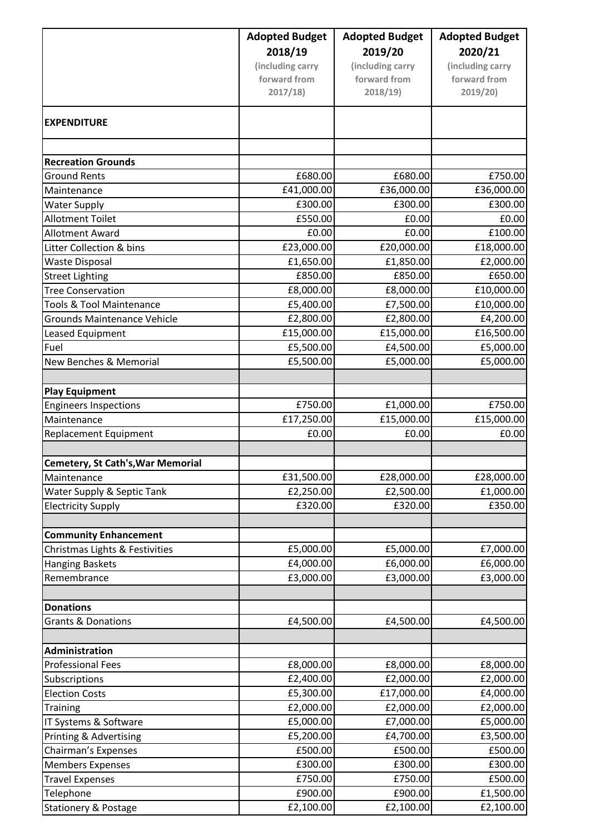|                                          | <b>Adopted Budget</b> | <b>Adopted Budget</b> | <b>Adopted Budget</b> |
|------------------------------------------|-----------------------|-----------------------|-----------------------|
|                                          | 2018/19               | 2019/20               | 2020/21               |
|                                          | (including carry      | (including carry      | (including carry      |
|                                          | forward from          | forward from          | forward from          |
|                                          | 2017/18               | 2018/19               | 2019/20)              |
| <b>EXPENDITURE</b>                       |                       |                       |                       |
|                                          |                       |                       |                       |
| <b>Recreation Grounds</b>                |                       |                       |                       |
| <b>Ground Rents</b>                      | £680.00               | £680.00               | £750.00               |
| Maintenance                              | £41,000.00            | £36,000.00            | £36,000.00            |
| <b>Water Supply</b>                      | £300.00               | £300.00               | £300.00               |
| <b>Allotment Toilet</b>                  | £550.00               | £0.00                 | £0.00                 |
| <b>Allotment Award</b>                   | £0.00                 | £0.00                 | £100.00               |
| Litter Collection & bins                 | £23,000.00            | £20,000.00            | £18,000.00            |
| <b>Waste Disposal</b>                    | £1,650.00             | £1,850.00             | £2,000.00             |
| <b>Street Lighting</b>                   | £850.00               | £850.00               | £650.00               |
| <b>Tree Conservation</b>                 | £8,000.00             | £8,000.00             | £10,000.00            |
| <b>Tools &amp; Tool Maintenance</b>      | £5,400.00             | £7,500.00             | £10,000.00            |
| <b>Grounds Maintenance Vehicle</b>       | £2,800.00             | £2,800.00             | £4,200.00             |
| Leased Equipment                         | £15,000.00            | £15,000.00            | £16,500.00            |
| Fuel                                     | £5,500.00             | £4,500.00             | £5,000.00             |
| <b>New Benches &amp; Memorial</b>        | £5,500.00             | £5,000.00             | £5,000.00             |
|                                          |                       |                       |                       |
| <b>Play Equipment</b>                    |                       |                       |                       |
| <b>Engineers Inspections</b>             | £750.00               | £1,000.00             | £750.00               |
| Maintenance                              | £17,250.00            | £15,000.00            | £15,000.00            |
| <b>Replacement Equipment</b>             | £0.00                 | £0.00                 | £0.00                 |
| <b>Cemetery, St Cath's, War Memorial</b> |                       |                       |                       |
| Maintenance                              | £31,500.00            | £28,000.00            | £28,000.00            |
| Water Supply & Septic Tank               | £2,250.00             | £2,500.00             | £1,000.00             |
| <b>Electricity Supply</b>                | £320.00               | £320.00               | £350.00               |
|                                          |                       |                       |                       |
| <b>Community Enhancement</b>             |                       |                       |                       |
| Christmas Lights & Festivities           | £5,000.00             | £5,000.00             | £7,000.00             |
| <b>Hanging Baskets</b>                   | £4,000.00             | £6,000.00             | £6,000.00             |
| Remembrance                              | £3,000.00             | £3,000.00             | £3,000.00             |
|                                          |                       |                       |                       |
| <b>Donations</b>                         |                       |                       |                       |
| <b>Grants &amp; Donations</b>            | £4,500.00             | £4,500.00             | £4,500.00             |
|                                          |                       |                       |                       |
| Administration                           |                       |                       |                       |
| <b>Professional Fees</b>                 | £8,000.00             | £8,000.00             | £8,000.00             |
| Subscriptions                            | £2,400.00             | £2,000.00             | £2,000.00             |
| <b>Election Costs</b>                    | £5,300.00             | £17,000.00            | £4,000.00             |
| Training                                 | £2,000.00             | £2,000.00             | £2,000.00             |
| IT Systems & Software                    | £5,000.00             | £7,000.00             | £5,000.00             |
| Printing & Advertising                   | £5,200.00             | £4,700.00             | £3,500.00             |
| Chairman's Expenses                      | £500.00               | £500.00               | £500.00               |
| <b>Members Expenses</b>                  | £300.00               | £300.00               | £300.00               |
| <b>Travel Expenses</b>                   | £750.00               | £750.00               | £500.00               |
| Telephone                                | £900.00               | £900.00               | £1,500.00             |
| <b>Stationery &amp; Postage</b>          | £2,100.00             | £2,100.00             | £2,100.00             |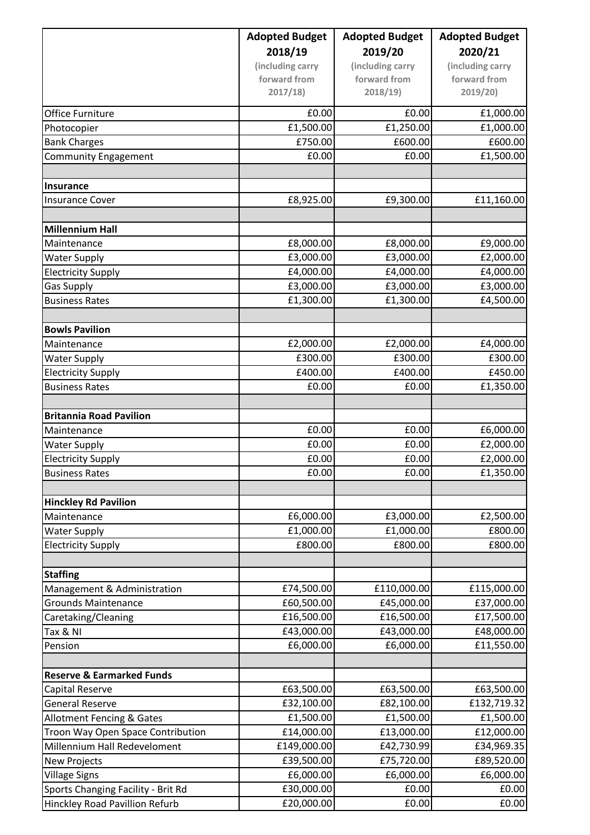|                                      | <b>Adopted Budget</b>   | <b>Adopted Budget</b>   | <b>Adopted Budget</b>    |
|--------------------------------------|-------------------------|-------------------------|--------------------------|
|                                      | 2018/19                 | 2019/20                 | 2020/21                  |
|                                      | (including carry        | (including carry        | (including carry         |
|                                      | forward from            | forward from            | forward from             |
|                                      | 2017/18                 | 2018/19                 | 2019/20                  |
| <b>Office Furniture</b>              | £0.00                   | £0.00                   | £1,000.00                |
| Photocopier                          | £1,500.00               | £1,250.00               | £1,000.00                |
| <b>Bank Charges</b>                  | £750.00                 | £600.00                 | £600.00                  |
| Community Engagement                 | £0.00                   | £0.00                   | £1,500.00                |
|                                      |                         |                         |                          |
| Insurance                            |                         |                         |                          |
| <b>Insurance Cover</b>               | £8,925.00               | £9,300.00               | £11,160.00               |
| <b>Millennium Hall</b>               |                         |                         |                          |
| Maintenance                          | £8,000.00               | £8,000.00               | £9,000.00                |
| <b>Water Supply</b>                  | £3,000.00               | £3,000.00               | £2,000.00                |
| <b>Electricity Supply</b>            | £4,000.00               | £4,000.00               | £4,000.00                |
| <b>Gas Supply</b>                    | £3,000.00               | £3,000.00               | £3,000.00                |
| <b>Business Rates</b>                | £1,300.00               | £1,300.00               | £4,500.00                |
|                                      |                         |                         |                          |
| <b>Bowls Pavilion</b>                |                         |                         |                          |
| Maintenance                          | £2,000.00               | £2,000.00               | £4,000.00                |
| <b>Water Supply</b>                  | £300.00                 | £300.00                 | £300.00                  |
| <b>Electricity Supply</b>            | £400.00                 | £400.00                 | £450.00                  |
| <b>Business Rates</b>                | £0.00                   | £0.00                   | £1,350.00                |
|                                      |                         |                         |                          |
| <b>Britannia Road Pavilion</b>       |                         |                         |                          |
| Maintenance                          | £0.00                   | £0.00                   | £6,000.00                |
| <b>Water Supply</b>                  | £0.00                   | £0.00                   | £2,000.00                |
| <b>Electricity Supply</b>            | £0.00                   | £0.00                   | £2,000.00                |
| <b>Business Rates</b>                | £0.00                   | £0.00                   | £1,350.00                |
| <b>Hinckley Rd Pavilion</b>          |                         |                         |                          |
| Maintenance                          | £6,000.00               | £3,000.00               | £2,500.00                |
| <b>Water Supply</b>                  | £1,000.00               | £1,000.00               | £800.00                  |
| <b>Electricity Supply</b>            | £800.00                 | £800.00                 | £800.00                  |
|                                      |                         |                         |                          |
| <b>Staffing</b>                      |                         |                         |                          |
| Management & Administration          | £74,500.00              | £110,000.00             | £115,000.00              |
| <b>Grounds Maintenance</b>           | £60,500.00              | £45,000.00              | £37,000.00               |
| Caretaking/Cleaning                  | £16,500.00              | £16,500.00              | £17,500.00               |
| Tax & NI<br>Pension                  | £43,000.00<br>£6,000.00 | £43,000.00<br>£6,000.00 | £48,000.00<br>£11,550.00 |
|                                      |                         |                         |                          |
| <b>Reserve &amp; Earmarked Funds</b> |                         |                         |                          |
| Capital Reserve                      | £63,500.00              | £63,500.00              | £63,500.00               |
| <b>General Reserve</b>               | £32,100.00              | £82,100.00              | £132,719.32              |
| <b>Allotment Fencing &amp; Gates</b> | £1,500.00               | £1,500.00               | £1,500.00                |
| Troon Way Open Space Contribution    | £14,000.00              | £13,000.00              | £12,000.00               |
| Millennium Hall Redeveloment         | £149,000.00             | £42,730.99              | £34,969.35               |
| <b>New Projects</b>                  | £39,500.00              | £75,720.00              | £89,520.00               |
| <b>Village Signs</b>                 | £6,000.00               | £6,000.00               | £6,000.00                |
| Sports Changing Facility - Brit Rd   | £30,000.00              | £0.00                   | £0.00                    |
| Hinckley Road Pavillion Refurb       | £20,000.00              | £0.00                   | £0.00                    |